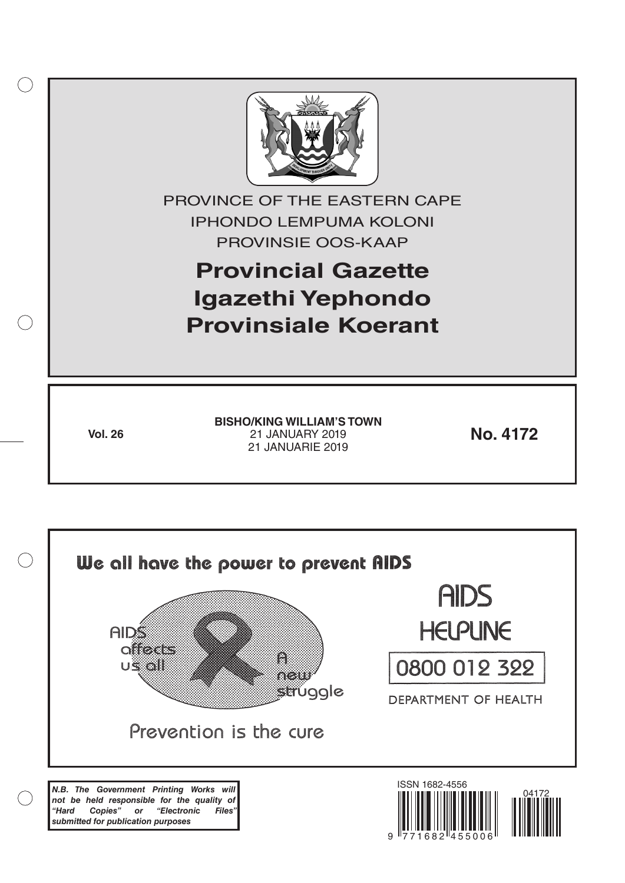

*N.B. The Government Printing Works will not be held responsible for the quality of "Hard Copies" or "Electronic Files" submitted for publication purposes*

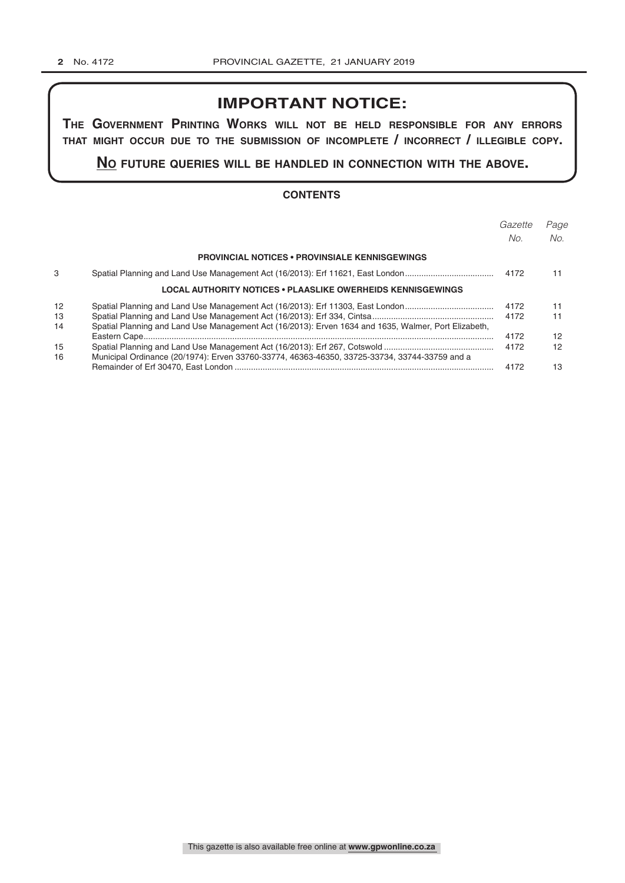## **IMPORTANT NOTICE:**

**The GovernmenT PrinTinG Works Will noT be held resPonsible for any errors ThaT miGhT occur due To The submission of incomPleTe / incorrecT / illeGible coPy.**

**no fuTure queries Will be handled in connecTion WiTh The above.**

#### **CONTENTS**

|          |                                                                                                      | Gazette | Page |
|----------|------------------------------------------------------------------------------------------------------|---------|------|
|          |                                                                                                      | No.     | No.  |
|          | <b>PROVINCIAL NOTICES • PROVINSIALE KENNISGEWINGS</b>                                                |         |      |
|          |                                                                                                      |         | 11   |
|          | <b>LOCAL AUTHORITY NOTICES • PLAASLIKE OWERHEIDS KENNISGEWINGS</b>                                   |         |      |
| 12       |                                                                                                      | 4172    | 11   |
| 13<br>14 | Spatial Planning and Land Use Management Act (16/2013): Erven 1634 and 1635, Walmer, Port Elizabeth, | 4172    | 11   |
|          |                                                                                                      | 4172    | 12   |
| 15<br>16 | Municipal Ordinance (20/1974): Erven 33760-33774, 46363-46350, 33725-33734, 33744-33759 and a        | 4172    | 12   |
|          |                                                                                                      | 4172    | 13   |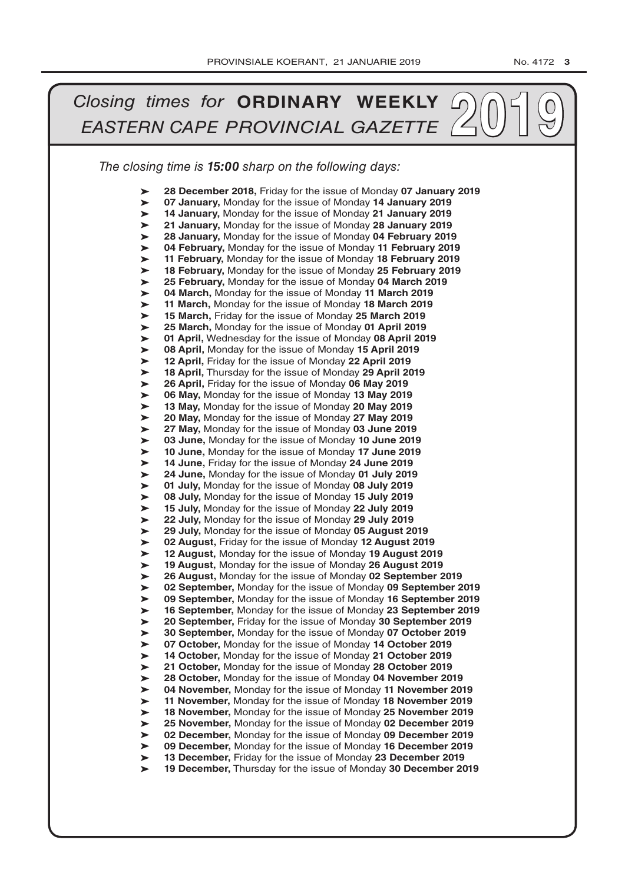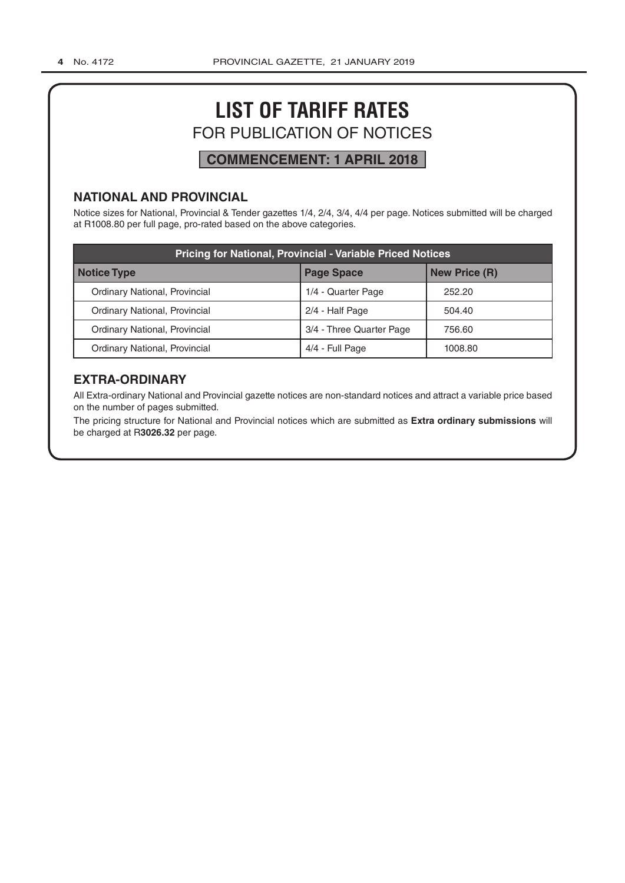# **LIST OF TARIFF RATES** FOR PUBLICATION OF NOTICES

## **COMMENCEMENT: 1 APRIL 2018**

## **NATIONAL AND PROVINCIAL**

Notice sizes for National, Provincial & Tender gazettes 1/4, 2/4, 3/4, 4/4 per page. Notices submitted will be charged at R1008.80 per full page, pro-rated based on the above categories.

| <b>Pricing for National, Provincial - Variable Priced Notices</b> |                          |                      |  |
|-------------------------------------------------------------------|--------------------------|----------------------|--|
| <b>Notice Type</b>                                                | <b>Page Space</b>        | <b>New Price (R)</b> |  |
| Ordinary National, Provincial                                     | 1/4 - Quarter Page       | 252.20               |  |
| Ordinary National, Provincial                                     | 2/4 - Half Page          | 504.40               |  |
| Ordinary National, Provincial                                     | 3/4 - Three Quarter Page | 756.60               |  |
| Ordinary National, Provincial                                     | 4/4 - Full Page          | 1008.80              |  |

## **EXTRA-ORDINARY**

All Extra-ordinary National and Provincial gazette notices are non-standard notices and attract a variable price based on the number of pages submitted.

The pricing structure for National and Provincial notices which are submitted as **Extra ordinary submissions** will be charged at R**3026.32** per page.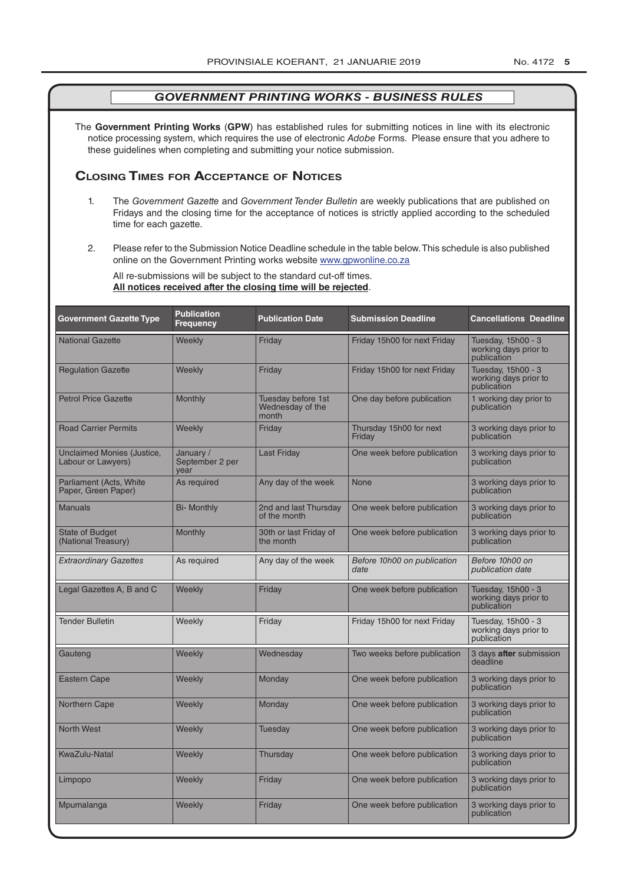The **Government Printing Works** (**GPW**) has established rules for submitting notices in line with its electronic notice processing system, which requires the use of electronic *Adobe* Forms. Please ensure that you adhere to these guidelines when completing and submitting your notice submission.

## **Closing Times for ACCepTAnCe of noTiCes**

- 1. The *Government Gazette* and *Government Tender Bulletin* are weekly publications that are published on Fridays and the closing time for the acceptance of notices is strictly applied according to the scheduled time for each gazette.
- 2. Please refer to the Submission Notice Deadline schedule in the table below. This schedule is also published online on the Government Printing works website www.gpwonline.co.za

All re-submissions will be subject to the standard cut-off times. **All notices received after the closing time will be rejected**.

| <b>Government Gazette Type</b>                          | <b>Publication</b><br><b>Frequency</b> | <b>Publication Date</b>                         | <b>Submission Deadline</b>          | <b>Cancellations Deadline</b>                              |
|---------------------------------------------------------|----------------------------------------|-------------------------------------------------|-------------------------------------|------------------------------------------------------------|
| <b>National Gazette</b>                                 | Weekly                                 | Friday                                          | Friday 15h00 for next Friday        | Tuesday, 15h00 - 3<br>working days prior to<br>publication |
| <b>Regulation Gazette</b>                               | Weekly                                 | Friday                                          | Friday 15h00 for next Friday        | Tuesday, 15h00 - 3<br>working days prior to<br>publication |
| <b>Petrol Price Gazette</b>                             | Monthly                                | Tuesday before 1st<br>Wednesday of the<br>month | One day before publication          | 1 working day prior to<br>publication                      |
| <b>Road Carrier Permits</b>                             | Weekly                                 | Friday                                          | Thursday 15h00 for next<br>Friday   | 3 working days prior to<br>publication                     |
| <b>Unclaimed Monies (Justice,</b><br>Labour or Lawyers) | January /<br>September 2 per<br>year   | <b>Last Friday</b>                              | One week before publication         | 3 working days prior to<br>publication                     |
| Parliament (Acts, White<br>Paper, Green Paper)          | As required                            | Any day of the week                             | None                                | 3 working days prior to<br>publication                     |
| <b>Manuals</b>                                          | <b>Bi- Monthly</b>                     | 2nd and last Thursday<br>of the month           | One week before publication         | 3 working days prior to<br>publication                     |
| <b>State of Budget</b><br>(National Treasury)           | Monthly                                | 30th or last Friday of<br>the month             | One week before publication         | 3 working days prior to<br>publication                     |
| <b>Extraordinary Gazettes</b>                           | As required                            | Any day of the week                             | Before 10h00 on publication<br>date | Before 10h00 on<br>publication date                        |
| Legal Gazettes A, B and C                               | Weekly                                 | Friday                                          | One week before publication         | Tuesday, 15h00 - 3<br>working days prior to<br>publication |
| <b>Tender Bulletin</b>                                  | Weekly                                 | Friday                                          | Friday 15h00 for next Friday        | Tuesday, 15h00 - 3<br>working days prior to<br>publication |
| Gauteng                                                 | Weekly                                 | Wednesday                                       | Two weeks before publication        | 3 days after submission<br>deadline                        |
| Eastern Cape                                            | Weekly                                 | Monday                                          | One week before publication         | 3 working days prior to<br>publication                     |
| <b>Northern Cape</b>                                    | Weekly                                 | Monday                                          | One week before publication         | 3 working days prior to<br>publication                     |
| <b>North West</b>                                       | Weekly                                 | Tuesday                                         | One week before publication         | 3 working days prior to<br>publication                     |
| <b>KwaZulu-Natal</b>                                    | Weekly                                 | Thursday                                        | One week before publication         | 3 working days prior to<br>publication                     |
| Limpopo                                                 | Weekly                                 | Friday                                          | One week before publication         | 3 working days prior to<br>publication                     |
| Mpumalanga                                              | Weekly                                 | Friday                                          | One week before publication         | 3 working days prior to<br>publication                     |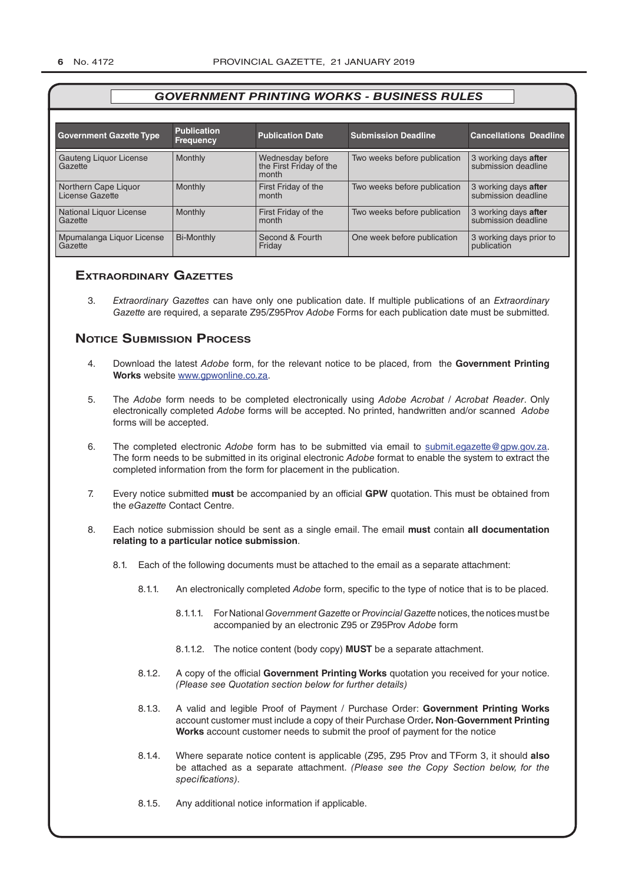| <b>Government Gazette Type</b>          | <b>Publication</b><br><b>Frequency</b> | <b>Publication Date</b>                              | <b>Submission Deadline</b>   | <b>Cancellations Deadline</b>               |
|-----------------------------------------|----------------------------------------|------------------------------------------------------|------------------------------|---------------------------------------------|
| Gauteng Liquor License<br>Gazette       | Monthly                                | Wednesday before<br>the First Friday of the<br>month | Two weeks before publication | 3 working days after<br>submission deadline |
| Northern Cape Liquor<br>License Gazette | Monthly                                | First Friday of the<br>month                         | Two weeks before publication | 3 working days after<br>submission deadline |
| National Liquor License<br>Gazette      | <b>Monthly</b>                         | First Friday of the<br>month                         | Two weeks before publication | 3 working days after<br>submission deadline |
| Mpumalanga Liquor License<br>Gazette    | <b>Bi-Monthly</b>                      | Second & Fourth<br>Friday                            | One week before publication  | 3 working days prior to<br>publication      |

## **exTrAordinAry gAzeTTes**

3. *Extraordinary Gazettes* can have only one publication date. If multiple publications of an *Extraordinary Gazette* are required, a separate Z95/Z95Prov *Adobe* Forms for each publication date must be submitted.

## **NOTICE SUBMISSION PROCESS**

- 4. Download the latest *Adobe* form, for the relevant notice to be placed, from the **Government Printing Works** website www.gpwonline.co.za.
- 5. The *Adobe* form needs to be completed electronically using *Adobe Acrobat* / *Acrobat Reader*. Only electronically completed *Adobe* forms will be accepted. No printed, handwritten and/or scanned *Adobe* forms will be accepted.
- 6. The completed electronic *Adobe* form has to be submitted via email to submit.egazette@gpw.gov.za. The form needs to be submitted in its original electronic *Adobe* format to enable the system to extract the completed information from the form for placement in the publication.
- 7. Every notice submitted **must** be accompanied by an official **GPW** quotation. This must be obtained from the *eGazette* Contact Centre.
- 8. Each notice submission should be sent as a single email. The email **must** contain **all documentation relating to a particular notice submission**.
	- 8.1. Each of the following documents must be attached to the email as a separate attachment:
		- 8.1.1. An electronically completed *Adobe* form, specific to the type of notice that is to be placed.
			- 8.1.1.1. For National *Government Gazette* or *Provincial Gazette* notices, the notices must be accompanied by an electronic Z95 or Z95Prov *Adobe* form
			- 8.1.1.2. The notice content (body copy) **MUST** be a separate attachment.
		- 8.1.2. A copy of the official **Government Printing Works** quotation you received for your notice. *(Please see Quotation section below for further details)*
		- 8.1.3. A valid and legible Proof of Payment / Purchase Order: **Government Printing Works** account customer must include a copy of their Purchase Order*.* **Non**-**Government Printing Works** account customer needs to submit the proof of payment for the notice
		- 8.1.4. Where separate notice content is applicable (Z95, Z95 Prov and TForm 3, it should **also** be attached as a separate attachment. *(Please see the Copy Section below, for the specifications)*.
		- 8.1.5. Any additional notice information if applicable.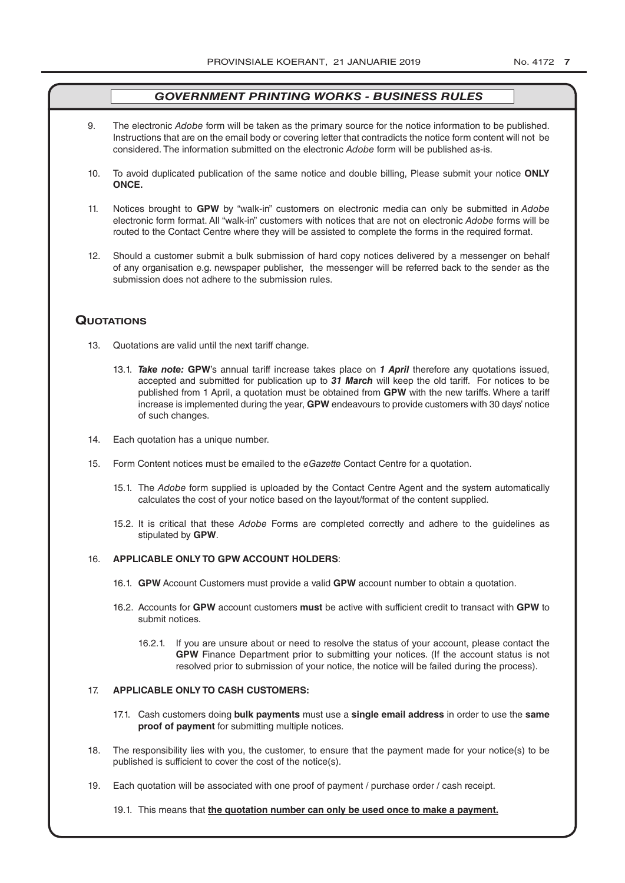- 9. The electronic *Adobe* form will be taken as the primary source for the notice information to be published. Instructions that are on the email body or covering letter that contradicts the notice form content will not be considered. The information submitted on the electronic *Adobe* form will be published as-is.
- 10. To avoid duplicated publication of the same notice and double billing, Please submit your notice **ONLY ONCE.**
- 11. Notices brought to **GPW** by "walk-in" customers on electronic media can only be submitted in *Adobe* electronic form format. All "walk-in" customers with notices that are not on electronic *Adobe* forms will be routed to the Contact Centre where they will be assisted to complete the forms in the required format.
- 12. Should a customer submit a bulk submission of hard copy notices delivered by a messenger on behalf of any organisation e.g. newspaper publisher, the messenger will be referred back to the sender as the submission does not adhere to the submission rules.

#### **QuoTATions**

- 13. Quotations are valid until the next tariff change.
	- 13.1. *Take note:* **GPW**'s annual tariff increase takes place on *1 April* therefore any quotations issued, accepted and submitted for publication up to *31 March* will keep the old tariff. For notices to be published from 1 April, a quotation must be obtained from **GPW** with the new tariffs. Where a tariff increase is implemented during the year, **GPW** endeavours to provide customers with 30 days' notice of such changes.
- 14. Each quotation has a unique number.
- 15. Form Content notices must be emailed to the *eGazette* Contact Centre for a quotation.
	- 15.1. The *Adobe* form supplied is uploaded by the Contact Centre Agent and the system automatically calculates the cost of your notice based on the layout/format of the content supplied.
	- 15.2. It is critical that these *Adobe* Forms are completed correctly and adhere to the guidelines as stipulated by **GPW**.

#### 16. **APPLICABLE ONLY TO GPW ACCOUNT HOLDERS**:

- 16.1. **GPW** Account Customers must provide a valid **GPW** account number to obtain a quotation.
- 16.2. Accounts for **GPW** account customers **must** be active with sufficient credit to transact with **GPW** to submit notices.
	- 16.2.1. If you are unsure about or need to resolve the status of your account, please contact the **GPW** Finance Department prior to submitting your notices. (If the account status is not resolved prior to submission of your notice, the notice will be failed during the process).

#### 17. **APPLICABLE ONLY TO CASH CUSTOMERS:**

- 17.1. Cash customers doing **bulk payments** must use a **single email address** in order to use the **same proof of payment** for submitting multiple notices.
- 18. The responsibility lies with you, the customer, to ensure that the payment made for your notice(s) to be published is sufficient to cover the cost of the notice(s).
- 19. Each quotation will be associated with one proof of payment / purchase order / cash receipt.

19.1. This means that **the quotation number can only be used once to make a payment.**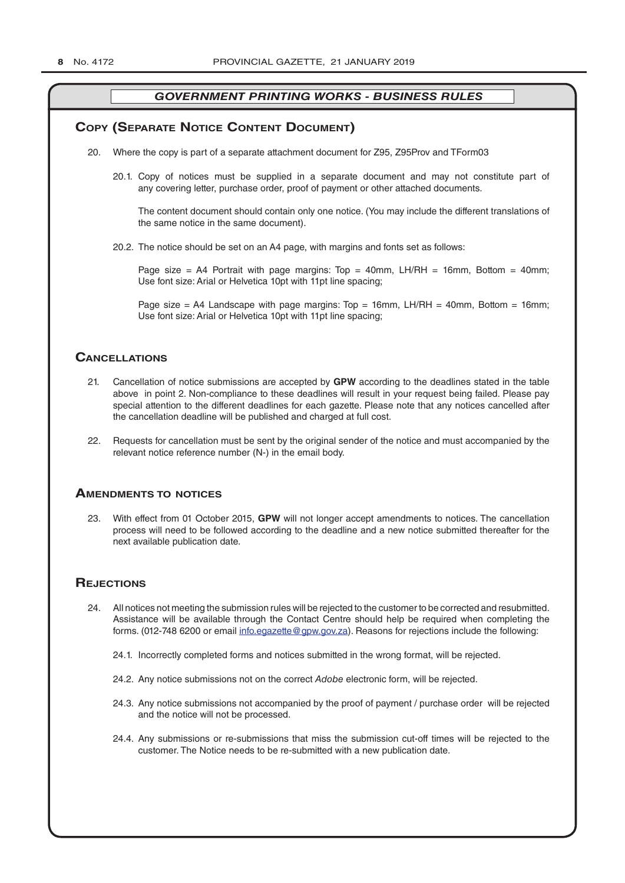## **COPY (SEPARATE NOTICE CONTENT DOCUMENT)**

- 20. Where the copy is part of a separate attachment document for Z95, Z95Prov and TForm03
	- 20.1. Copy of notices must be supplied in a separate document and may not constitute part of any covering letter, purchase order, proof of payment or other attached documents.

The content document should contain only one notice. (You may include the different translations of the same notice in the same document).

20.2. The notice should be set on an A4 page, with margins and fonts set as follows:

Page size = A4 Portrait with page margins: Top = 40mm, LH/RH = 16mm, Bottom = 40mm; Use font size: Arial or Helvetica 10pt with 11pt line spacing;

Page size = A4 Landscape with page margins:  $Top = 16mm$ , LH/RH = 40mm, Bottom = 16mm; Use font size: Arial or Helvetica 10pt with 11pt line spacing;

#### **CAnCellATions**

- 21. Cancellation of notice submissions are accepted by **GPW** according to the deadlines stated in the table above in point 2. Non-compliance to these deadlines will result in your request being failed. Please pay special attention to the different deadlines for each gazette. Please note that any notices cancelled after the cancellation deadline will be published and charged at full cost.
- 22. Requests for cancellation must be sent by the original sender of the notice and must accompanied by the relevant notice reference number (N-) in the email body.

#### **AmendmenTs To noTiCes**

23. With effect from 01 October 2015, **GPW** will not longer accept amendments to notices. The cancellation process will need to be followed according to the deadline and a new notice submitted thereafter for the next available publication date.

#### **REJECTIONS**

- 24. All notices not meeting the submission rules will be rejected to the customer to be corrected and resubmitted. Assistance will be available through the Contact Centre should help be required when completing the forms. (012-748 6200 or email info.egazette@gpw.gov.za). Reasons for rejections include the following:
	- 24.1. Incorrectly completed forms and notices submitted in the wrong format, will be rejected.
	- 24.2. Any notice submissions not on the correct *Adobe* electronic form, will be rejected.
	- 24.3. Any notice submissions not accompanied by the proof of payment / purchase order will be rejected and the notice will not be processed.
	- 24.4. Any submissions or re-submissions that miss the submission cut-off times will be rejected to the customer. The Notice needs to be re-submitted with a new publication date.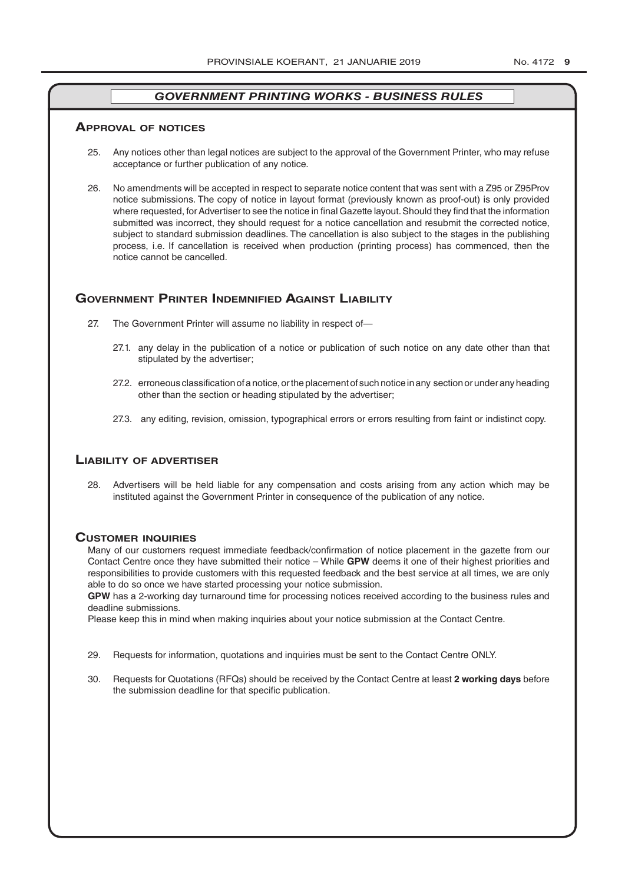#### **ApprovAl of noTiCes**

- 25. Any notices other than legal notices are subject to the approval of the Government Printer, who may refuse acceptance or further publication of any notice.
- 26. No amendments will be accepted in respect to separate notice content that was sent with a Z95 or Z95Prov notice submissions. The copy of notice in layout format (previously known as proof-out) is only provided where requested, for Advertiser to see the notice in final Gazette layout. Should they find that the information submitted was incorrect, they should request for a notice cancellation and resubmit the corrected notice, subject to standard submission deadlines. The cancellation is also subject to the stages in the publishing process, i.e. If cancellation is received when production (printing process) has commenced, then the notice cannot be cancelled.

#### **governmenT prinTer indemnified AgAinsT liAbiliTy**

- 27. The Government Printer will assume no liability in respect of—
	- 27.1. any delay in the publication of a notice or publication of such notice on any date other than that stipulated by the advertiser;
	- 27.2. erroneous classification of a notice, or the placement of such notice in any section or under any heading other than the section or heading stipulated by the advertiser;
	- 27.3. any editing, revision, omission, typographical errors or errors resulting from faint or indistinct copy.

#### **liAbiliTy of AdverTiser**

28. Advertisers will be held liable for any compensation and costs arising from any action which may be instituted against the Government Printer in consequence of the publication of any notice.

#### **CusTomer inQuiries**

Many of our customers request immediate feedback/confirmation of notice placement in the gazette from our Contact Centre once they have submitted their notice – While **GPW** deems it one of their highest priorities and responsibilities to provide customers with this requested feedback and the best service at all times, we are only able to do so once we have started processing your notice submission.

**GPW** has a 2-working day turnaround time for processing notices received according to the business rules and deadline submissions.

Please keep this in mind when making inquiries about your notice submission at the Contact Centre.

- 29. Requests for information, quotations and inquiries must be sent to the Contact Centre ONLY.
- 30. Requests for Quotations (RFQs) should be received by the Contact Centre at least **2 working days** before the submission deadline for that specific publication.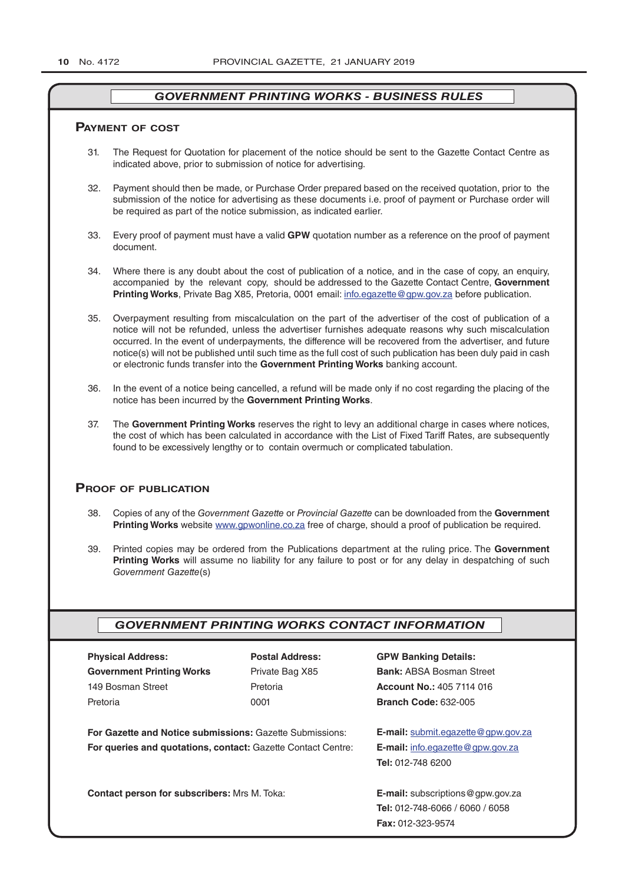#### **pAymenT of CosT**

- 31. The Request for Quotation for placement of the notice should be sent to the Gazette Contact Centre as indicated above, prior to submission of notice for advertising.
- 32. Payment should then be made, or Purchase Order prepared based on the received quotation, prior to the submission of the notice for advertising as these documents i.e. proof of payment or Purchase order will be required as part of the notice submission, as indicated earlier.
- 33. Every proof of payment must have a valid **GPW** quotation number as a reference on the proof of payment document.
- 34. Where there is any doubt about the cost of publication of a notice, and in the case of copy, an enquiry, accompanied by the relevant copy, should be addressed to the Gazette Contact Centre, **Government Printing Works**, Private Bag X85, Pretoria, 0001 email: info.egazette@gpw.gov.za before publication.
- 35. Overpayment resulting from miscalculation on the part of the advertiser of the cost of publication of a notice will not be refunded, unless the advertiser furnishes adequate reasons why such miscalculation occurred. In the event of underpayments, the difference will be recovered from the advertiser, and future notice(s) will not be published until such time as the full cost of such publication has been duly paid in cash or electronic funds transfer into the **Government Printing Works** banking account.
- 36. In the event of a notice being cancelled, a refund will be made only if no cost regarding the placing of the notice has been incurred by the **Government Printing Works**.
- 37. The **Government Printing Works** reserves the right to levy an additional charge in cases where notices, the cost of which has been calculated in accordance with the List of Fixed Tariff Rates, are subsequently found to be excessively lengthy or to contain overmuch or complicated tabulation.

#### **proof of publiCATion**

- 38. Copies of any of the *Government Gazette* or *Provincial Gazette* can be downloaded from the **Government**  Printing Works website www.gpwonline.co.za free of charge, should a proof of publication be required.
- 39. Printed copies may be ordered from the Publications department at the ruling price. The **Government Printing Works** will assume no liability for any failure to post or for any delay in despatching of such *Government Gazette*(s)

#### *GOVERNMENT PRINTING WORKS CONTACT INFORMATION*

| Privsical Address:               |
|----------------------------------|
| <b>Government Printing Works</b> |
| 149 Bosman Street                |
| Pretoria                         |
|                                  |

**For Gazette and Notice submissions:** Gazette Submissions: **E-mail:** submit.egazette@gpw.gov.za **For queries and quotations, contact:** Gazette Contact Centre: **E-mail:** info.egazette@gpw.gov.za

**Contact person for subscribers:** Mrs M. Toka: **E-mail:** subscriptions@gpw.gov.za

**Physical Address: Postal Address: GPW Banking Details:**

Private Bag X85 **Bank:** ABSA Bosman Street 149 Bosman Street Pretoria **Account No.:** 405 7114 016 Pretoria 0001 **Branch Code:** 632-005

**Tel:** 012-748 6200

**Tel:** 012-748-6066 / 6060 / 6058 **Fax:** 012-323-9574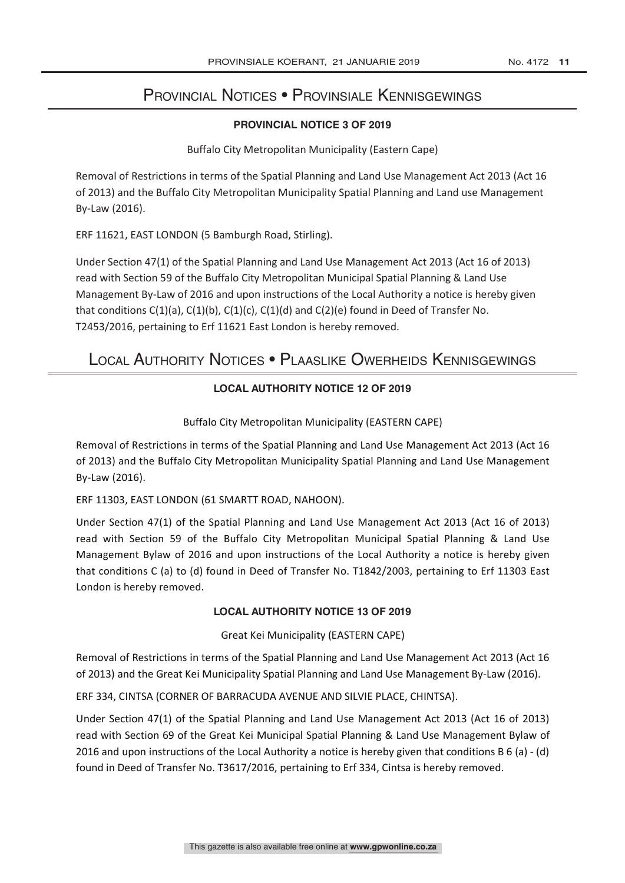## Provincial Notices • Provinsiale Kennisgewings

## **PROVINCIAL NOTICE 3 OF 2019**

Buffalo City Metropolitan Municipality (Eastern Cape)

Removal of Restrictions in terms of the Spatial Planning and Land Use Management Act 2013 (Act 16 of 2013) and the Buffalo City Metropolitan Municipality Spatial Planning and Land use Management By-Law (2016).

ERF 11621, EAST LONDON (5 Bamburgh Road, Stirling).

Under Section 47(1) of the Spatial Planning and Land Use Management Act 2013 (Act 16 of 2013) read with Section 59 of the Buffalo City Metropolitan Municipal Spatial Planning & Land Use Management By-Law of 2016 and upon instructions of the Local Authority a notice is hereby given that conditions  $C(1)(a)$ ,  $C(1)(b)$ ,  $C(1)(c)$ ,  $C(1)(d)$  and  $C(2)(e)$  found in Deed of Transfer No. T2453/2016, pertaining to Erf 11621 East London is hereby removed.

## Local Authority Notices • Plaaslike Owerheids Kennisgewings

## **LOCAL AUTHORITY NOTICE 12 OF 2019**

Buffalo City Metropolitan Municipality (EASTERN CAPE)

Removal of Restrictions in terms of the Spatial Planning and Land Use Management Act 2013 (Act 16 of 2013) and the Buffalo City Metropolitan Municipality Spatial Planning and Land Use Management By-Law (2016).

ERF 11303, EAST LONDON (61 SMARTT ROAD, NAHOON).

Under Section 47(1) of the Spatial Planning and Land Use Management Act 2013 (Act 16 of 2013) read with Section 59 of the Buffalo City Metropolitan Municipal Spatial Planning & Land Use Management Bylaw of 2016 and upon instructions of the Local Authority a notice is hereby given that conditions C (a) to (d) found in Deed of Transfer No. T1842/2003, pertaining to Erf 11303 East London is hereby removed.

## **LOCAL AUTHORITY NOTICE 13 OF 2019**

Great Kei Municipality (EASTERN CAPE)

Removal of Restrictions in terms of the Spatial Planning and Land Use Management Act 2013 (Act 16 of 2013) and the Great Kei Municipality Spatial Planning and Land Use Management By-Law (2016).

ERF 334, CINTSA (CORNER OF BARRACUDA AVENUE AND SILVIE PLACE, CHINTSA).

Under Section 47(1) of the Spatial Planning and Land Use Management Act 2013 (Act 16 of 2013) read with Section 69 of the Great Kei Municipal Spatial Planning & Land Use Management Bylaw of 2016 and upon instructions of the Local Authority a notice is hereby given that conditions B 6 (a) - (d) found in Deed of Transfer No. T3617/2016, pertaining to Erf 334, Cintsa is hereby removed.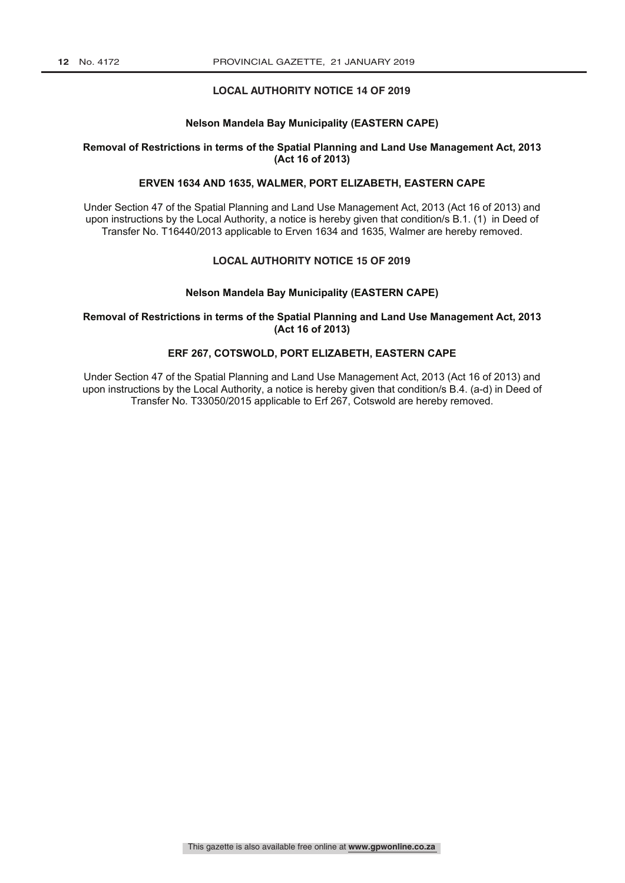#### **LOCAL AUTHORITY NOTICE 14 OF 2019**

#### **Nelson Mandela Bay Municipality (EASTERN CAPE)**

#### **Removal of Restrictions in terms of the Spatial Planning and Land Use Management Act, 2013 (Act 16 of 2013)**

#### **ERVEN 1634 AND 1635, WALMER, PORT ELIZABETH, EASTERN CAPE**

Under Section 47 of the Spatial Planning and Land Use Management Act, 2013 (Act 16 of 2013) and upon instructions by the Local Authority, a notice is hereby given that condition/s B.1. (1) in Deed of Transfer No. T16440/2013 applicable to Erven 1634 and 1635, Walmer are hereby removed.

#### **LOCAL AUTHORITY NOTICE 15 OF 2019**

#### **Nelson Mandela Bay Municipality (EASTERN CAPE)**

#### **Removal of Restrictions in terms of the Spatial Planning and Land Use Management Act, 2013 (Act 16 of 2013)**

#### **ERF 267, COTSWOLD, PORT ELIZABETH, EASTERN CAPE**

Under Section 47 of the Spatial Planning and Land Use Management Act, 2013 (Act 16 of 2013) and upon instructions by the Local Authority, a notice is hereby given that condition/s B.4. (a-d) in Deed of Transfer No. T33050/2015 applicable to Erf 267, Cotswold are hereby removed.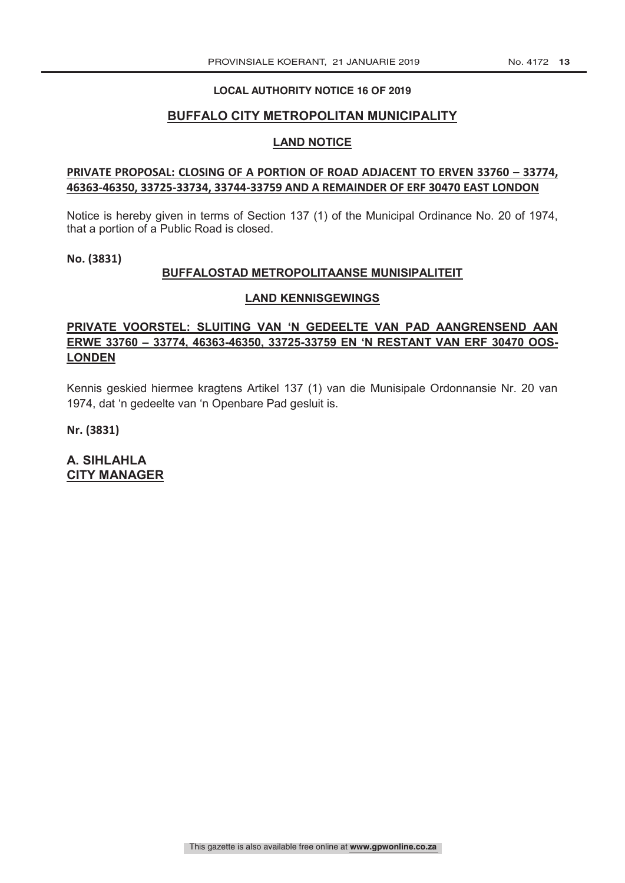#### **LOCAL AUTHORITY NOTICE 16 OF 2019**

## **BUFFALO CITY METROPOLITAN MUNICIPALITY**

## **LAND NOTICE**

## **PRIVATE PROPOSAL: CLOSING OF A PORTION OF ROAD ADJACENT TO ERVEN 33760 – 33774, 46363-46350, 33725-33734, 33744-33759 AND A REMAINDER OF ERF 30470 EAST LONDON**

Notice is hereby given in terms of Section 137 (1) of the Municipal Ordinance No. 20 of 1974, that a portion of a Public Road is closed.

**No. (3831)**

## **BUFFALOSTAD METROPOLITAANSE MUNISIPALITEIT**

## **LAND KENNISGEWINGS**

## **PRIVATE VOORSTEL: SLUITING VAN 'N GEDEELTE VAN PAD AANGRENSEND AAN ERWE 33760 – 33774, 46363-46350, 33725-33759 EN 'N RESTANT VAN ERF 30470 OOS-LONDEN**

Kennis geskied hiermee kragtens Artikel 137 (1) van die Munisipale Ordonnansie Nr. 20 van 1974, dat 'n gedeelte van 'n Openbare Pad gesluit is.

**Nr. (3831)**

**A. SIHLAHLA CITY MANAGER**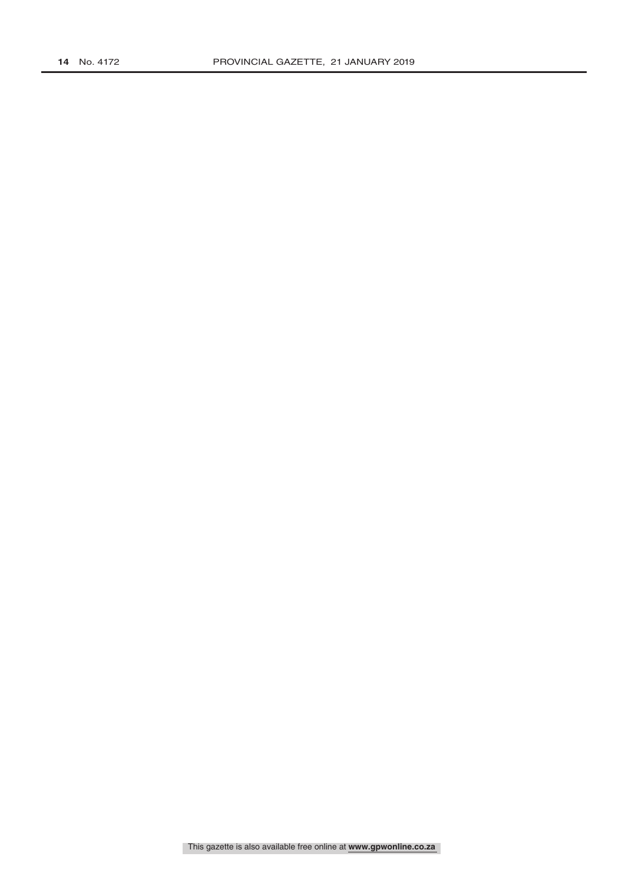This gazette is also available free online at **www.gpwonline.co.za**